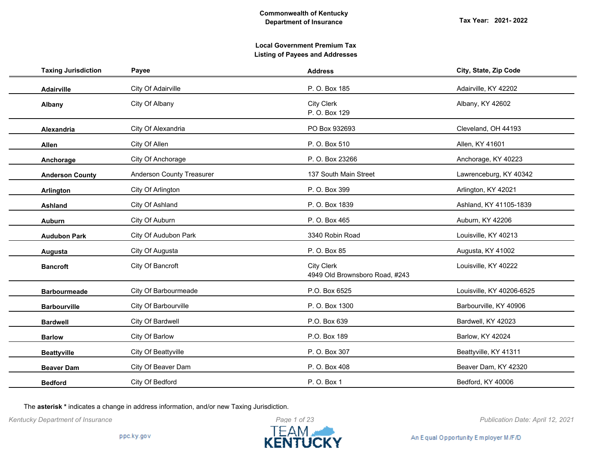| <b>Taxing Jurisdiction</b> | Payee                            | <b>Address</b>                                      | City, State, Zip Code     |
|----------------------------|----------------------------------|-----------------------------------------------------|---------------------------|
| Adairville                 | City Of Adairville               | P. O. Box 185                                       | Adairville, KY 42202      |
| Albany                     | City Of Albany                   | <b>City Clerk</b><br>P. O. Box 129                  | Albany, KY 42602          |
| <b>Alexandria</b>          | City Of Alexandria               | PO Box 932693                                       | Cleveland, OH 44193       |
| Allen                      | City Of Allen                    | P. O. Box 510                                       | Allen, KY 41601           |
| Anchorage                  | City Of Anchorage                | P. O. Box 23266                                     | Anchorage, KY 40223       |
| <b>Anderson County</b>     | <b>Anderson County Treasurer</b> | 137 South Main Street                               | Lawrenceburg, KY 40342    |
| Arlington                  | City Of Arlington                | P. O. Box 399                                       | Arlington, KY 42021       |
| Ashland                    | City Of Ashland                  | P. O. Box 1839                                      | Ashland, KY 41105-1839    |
| <b>Auburn</b>              | City Of Auburn                   | P. O. Box 465                                       | Auburn, KY 42206          |
| <b>Audubon Park</b>        | City Of Audubon Park             | 3340 Robin Road                                     | Louisville, KY 40213      |
| Augusta                    | City Of Augusta                  | P. O. Box 85                                        | Augusta, KY 41002         |
| <b>Bancroft</b>            | City Of Bancroft                 | <b>City Clerk</b><br>4949 Old Brownsboro Road, #243 | Louisville, KY 40222      |
| <b>Barbourmeade</b>        | City Of Barbourmeade             | P.O. Box 6525                                       | Louisville, KY 40206-6525 |
| <b>Barbourville</b>        | City Of Barbourville             | P. O. Box 1300                                      | Barbourville, KY 40906    |
| <b>Bardwell</b>            | City Of Bardwell                 | P.O. Box 639                                        | Bardwell, KY 42023        |
| <b>Barlow</b>              | City Of Barlow                   | P.O. Box 189                                        | Barlow, KY 42024          |
| <b>Beattyville</b>         | City Of Beattyville              | P. O. Box 307                                       | Beattyville, KY 41311     |
| <b>Beaver Dam</b>          | City Of Beaver Dam               | P. O. Box 408                                       | Beaver Dam, KY 42320      |
| <b>Bedford</b>             | City Of Bedford                  | P. O. Box 1                                         | Bedford, KY 40006         |

The **asterisk \*** indicates a change in address information, and/or new Taxing Jurisdiction.

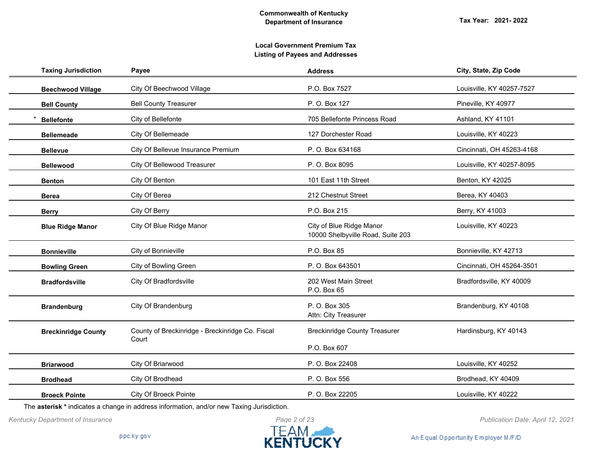| <b>Taxing Jurisdiction</b> | Payee                                            | <b>Address</b>                                                | City, State, Zip Code     |
|----------------------------|--------------------------------------------------|---------------------------------------------------------------|---------------------------|
| <b>Beechwood Village</b>   | City Of Beechwood Village                        | P.O. Box 7527                                                 | Louisville, KY 40257-7527 |
| <b>Bell County</b>         | <b>Bell County Treasurer</b>                     | P. O. Box 127                                                 | Pineville, KY 40977       |
| <b>Bellefonte</b>          | City of Bellefonte                               | 705 Bellefonte Princess Road                                  | Ashland, KY 41101         |
| <b>Bellemeade</b>          | City Of Bellemeade                               | 127 Dorchester Road                                           | Louisville, KY 40223      |
| <b>Bellevue</b>            | City Of Bellevue Insurance Premium               | P. O. Box 634168                                              | Cincinnati, OH 45263-4168 |
| <b>Bellewood</b>           | City Of Bellewood Treasurer                      | P. O. Box 8095                                                | Louisville, KY 40257-8095 |
| <b>Benton</b>              | City Of Benton                                   | 101 East 11th Street                                          | Benton, KY 42025          |
| <b>Berea</b>               | City Of Berea                                    | 212 Chestnut Street                                           | Berea, KY 40403           |
| <b>Berry</b>               | City Of Berry                                    | P.O. Box 215                                                  | Berry, KY 41003           |
| <b>Blue Ridge Manor</b>    | City Of Blue Ridge Manor                         | City of Blue Ridge Manor<br>10000 Shelbyville Road, Suite 203 | Louisville, KY 40223      |
| <b>Bonnieville</b>         | City of Bonnieville                              | P.O. Box 85                                                   | Bonnieville, KY 42713     |
| <b>Bowling Green</b>       | City of Bowling Green                            | P. O. Box 643501                                              | Cincinnati, OH 45264-3501 |
| <b>Bradfordsville</b>      | City Of Bradfordsville                           | 202 West Main Street<br>P.O. Box 65                           | Bradfordsville, KY 40009  |
| <b>Brandenburg</b>         | City Of Brandenburg                              | P. O. Box 305<br>Attn: City Treasurer                         | Brandenburg, KY 40108     |
| <b>Breckinridge County</b> | County of Breckinridge - Breckinridge Co. Fiscal | <b>Breckinridge County Treasurer</b>                          | Hardinsburg, KY 40143     |
|                            | Court                                            | P.O. Box 607                                                  |                           |
| <b>Briarwood</b>           | City Of Briarwood                                | P. O. Box 22408                                               | Louisville, KY 40252      |
| <b>Brodhead</b>            | City Of Brodhead                                 | P. O. Box 556                                                 | Brodhead, KY 40409        |
| <b>Broeck Pointe</b>       | <b>City Of Broeck Pointe</b>                     | P. O. Box 22205                                               | Louisville, KY 40222      |

The **asterisk \*** indicates a change in address information, and/or new Taxing Jurisdiction.



An Equal Opportunity Employer M/F/D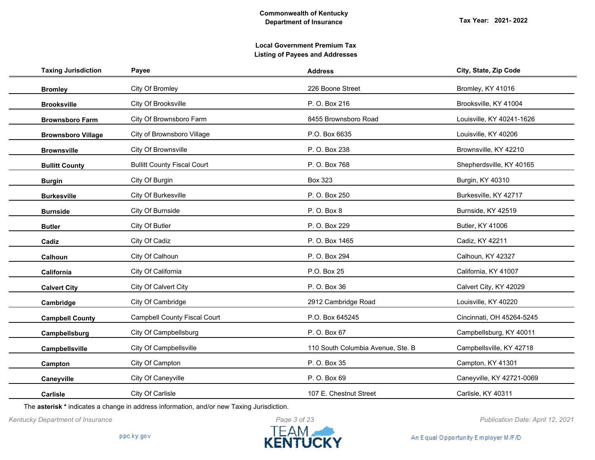| <b>Taxing Jurisdiction</b> | Payee                               | <b>Address</b>                    | City, State, Zip Code     |
|----------------------------|-------------------------------------|-----------------------------------|---------------------------|
| <b>Bromley</b>             | City Of Bromley                     | 226 Boone Street                  | Bromley, KY 41016         |
| <b>Brooksville</b>         | City Of Brooksville                 | P. O. Box 216                     | Brooksville, KY 41004     |
| <b>Brownsboro Farm</b>     | City Of Brownsboro Farm             | 8455 Brownsboro Road              | Louisville, KY 40241-1626 |
| <b>Brownsboro Village</b>  | City of Brownsboro Village          | P.O. Box 6635                     | Louisville, KY 40206      |
| <b>Brownsville</b>         | City Of Brownsville                 | P. O. Box 238                     | Brownsville, KY 42210     |
| <b>Bullitt County</b>      | <b>Bullitt County Fiscal Court</b>  | P. O. Box 768                     | Shepherdsville, KY 40165  |
| <b>Burgin</b>              | City Of Burgin                      | <b>Box 323</b>                    | Burgin, KY 40310          |
| <b>Burkesville</b>         | City Of Burkesville                 | P. O. Box 250                     | Burkesville, KY 42717     |
| <b>Burnside</b>            | City Of Burnside                    | P. O. Box 8                       | Burnside, KY 42519        |
| <b>Butler</b>              | City Of Butler                      | P. O. Box 229                     | <b>Butler, KY 41006</b>   |
| Cadiz                      | City Of Cadiz                       | P. O. Box 1465                    | Cadiz, KY 42211           |
| Calhoun                    | City Of Calhoun                     | P. O. Box 294                     | Calhoun, KY 42327         |
| California                 | City Of California                  | P.O. Box 25                       | California, KY 41007      |
| <b>Calvert City</b>        | City Of Calvert City                | P. O. Box 36                      | Calvert City, KY 42029    |
| Cambridge                  | City Of Cambridge                   | 2912 Cambridge Road               | Louisville, KY 40220      |
| <b>Campbell County</b>     | <b>Campbell County Fiscal Court</b> | P.O. Box 645245                   | Cincinnati, OH 45264-5245 |
| Campbellsburg              | City Of Campbellsburg               | P. O. Box 67                      | Campbellsburg, KY 40011   |
| Campbellsville             | City Of Campbellsville              | 110 South Columbia Avenue, Ste. B | Campbellsville, KY 42718  |
| Campton                    | City Of Campton                     | P. O. Box 35                      | Campton, KY 41301         |
| Caneyville                 | City Of Caneyville                  | P. O. Box 69                      | Caneyville, KY 42721-0069 |
| <b>Carlisle</b>            | City Of Carlisle                    | 107 E. Chestnut Street            | Carlisle, KY 40311        |

The **asterisk \*** indicates a change in address information, and/or new Taxing Jurisdiction.



*Kentucky Department of Insurance Publication Date: April 12, 2021*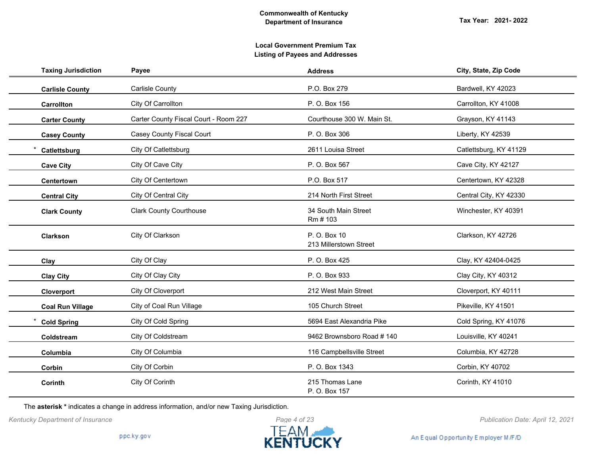| <b>Taxing Jurisdiction</b> | Payee                                 | <b>Address</b>                         | City, State, Zip Code  |
|----------------------------|---------------------------------------|----------------------------------------|------------------------|
| <b>Carlisle County</b>     | <b>Carlisle County</b>                | P.O. Box 279                           | Bardwell, KY 42023     |
| Carrollton                 | City Of Carrollton                    | P. O. Box 156                          | Carrollton, KY 41008   |
| <b>Carter County</b>       | Carter County Fiscal Court - Room 227 | Courthouse 300 W. Main St.             | Grayson, KY 41143      |
| <b>Casey County</b>        | <b>Casey County Fiscal Court</b>      | P. O. Box 306                          | Liberty, KY 42539      |
| Catlettsburg               | City Of Catlettsburg                  | 2611 Louisa Street                     | Catlettsburg, KY 41129 |
| <b>Cave City</b>           | City Of Cave City                     | P. O. Box 567                          | Cave City, KY 42127    |
| Centertown                 | City Of Centertown                    | P.O. Box 517                           | Centertown, KY 42328   |
| <b>Central City</b>        | City Of Central City                  | 214 North First Street                 | Central City, KY 42330 |
| <b>Clark County</b>        | <b>Clark County Courthouse</b>        | 34 South Main Street<br>Rm # 103       | Winchester, KY 40391   |
| Clarkson                   | City Of Clarkson                      | P. O. Box 10<br>213 Millerstown Street | Clarkson, KY 42726     |
| Clay                       | City Of Clay                          | P. O. Box 425                          | Clay, KY 42404-0425    |
| <b>Clay City</b>           | City Of Clay City                     | P. O. Box 933                          | Clay City, KY 40312    |
| Cloverport                 | City Of Cloverport                    | 212 West Main Street                   | Cloverport, KY 40111   |
| <b>Coal Run Village</b>    | City of Coal Run Village              | 105 Church Street                      | Pikeville, KY 41501    |
| <b>Cold Spring</b>         | City Of Cold Spring                   | 5694 East Alexandria Pike              | Cold Spring, KY 41076  |
| Coldstream                 | City Of Coldstream                    | 9462 Brownsboro Road #140              | Louisville, KY 40241   |
| Columbia                   | City Of Columbia                      | 116 Campbellsville Street              | Columbia, KY 42728     |
| Corbin                     | City Of Corbin                        | P. O. Box 1343                         | Corbin, KY 40702       |
| Corinth                    | City Of Corinth                       | 215 Thomas Lane<br>P. O. Box 157       | Corinth, KY 41010      |

The **asterisk \*** indicates a change in address information, and/or new Taxing Jurisdiction.



*Kentucky Department of Insurance Publication Date: April 12, 2021*

An Equal Opportunity Employer M/F/D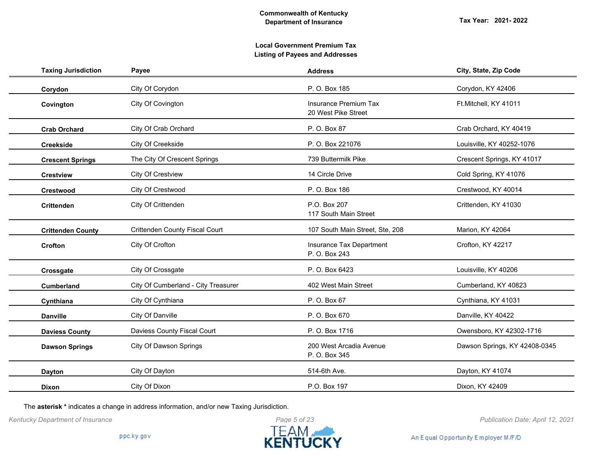| <b>Taxing Jurisdiction</b> | Payee                                 | <b>Address</b>                                      | City, State, Zip Code         |
|----------------------------|---------------------------------------|-----------------------------------------------------|-------------------------------|
| Corydon                    | City Of Corydon                       | P. O. Box 185                                       | Corydon, KY 42406             |
| Covington                  | City Of Covington                     | <b>Insurance Premium Tax</b><br>20 West Pike Street | Ft.Mitchell, KY 41011         |
| <b>Crab Orchard</b>        | City Of Crab Orchard                  | P. O. Box 87                                        | Crab Orchard, KY 40419        |
| <b>Creekside</b>           | City Of Creekside                     | P. O. Box 221076                                    | Louisville, KY 40252-1076     |
| <b>Crescent Springs</b>    | The City Of Crescent Springs          | 739 Buttermilk Pike                                 | Crescent Springs, KY 41017    |
| <b>Crestview</b>           | <b>City Of Crestview</b>              | 14 Circle Drive                                     | Cold Spring, KY 41076         |
| <b>Crestwood</b>           | City Of Crestwood                     | P. O. Box 186                                       | Crestwood, KY 40014           |
| <b>Crittenden</b>          | City Of Crittenden                    | P.O. Box 207<br>117 South Main Street               | Crittenden, KY 41030          |
| <b>Crittenden County</b>   | <b>Crittenden County Fiscal Court</b> | 107 South Main Street, Ste, 208                     | Marion, KY 42064              |
| Crofton                    | City Of Crofton                       | Insurance Tax Department<br>P. O. Box 243           | Crofton, KY 42217             |
| Crossgate                  | City Of Crossgate                     | P. O. Box 6423                                      | Louisville, KY 40206          |
| <b>Cumberland</b>          | City Of Cumberland - City Treasurer   | 402 West Main Street                                | Cumberland, KY 40823          |
| Cynthiana                  | City Of Cynthiana                     | P. O. Box 67                                        | Cynthiana, KY 41031           |
| <b>Danville</b>            | City Of Danville                      | P. O. Box 670                                       | Danville, KY 40422            |
| <b>Daviess County</b>      | Daviess County Fiscal Court           | P. O. Box 1716                                      | Owensboro, KY 42302-1716      |
| <b>Dawson Springs</b>      | City Of Dawson Springs                | 200 West Arcadia Avenue<br>P. O. Box 345            | Dawson Springs, KY 42408-0345 |
| <b>Dayton</b>              | City Of Dayton                        | 514-6th Ave.                                        | Dayton, KY 41074              |
| <b>Dixon</b>               | City Of Dixon                         | P.O. Box 197                                        | Dixon, KY 42409               |

The **asterisk \*** indicates a change in address information, and/or new Taxing Jurisdiction.



*Kentucky Department of Insurance Publication Date: April 12, 2021*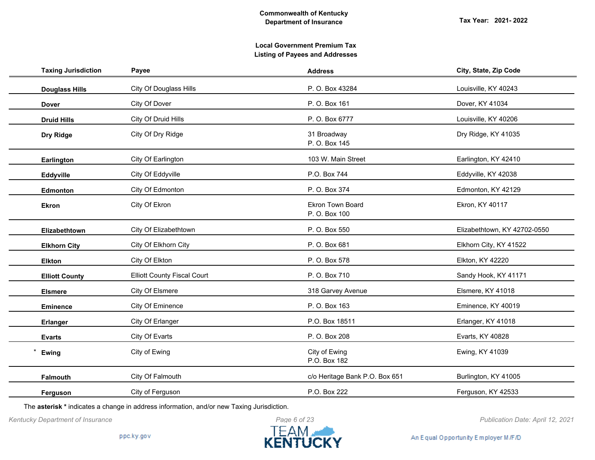| <b>Taxing Jurisdiction</b> | Payee                              | <b>Address</b>                           | City, State, Zip Code        |
|----------------------------|------------------------------------|------------------------------------------|------------------------------|
| <b>Douglass Hills</b>      | <b>City Of Douglass Hills</b>      | P. O. Box 43284                          | Louisville, KY 40243         |
| <b>Dover</b>               | City Of Dover                      | P. O. Box 161                            | Dover, KY 41034              |
| <b>Druid Hills</b>         | City Of Druid Hills                | P. O. Box 6777                           | Louisville, KY 40206         |
| Dry Ridge                  | City Of Dry Ridge                  | 31 Broadway<br>P. O. Box 145             | Dry Ridge, KY 41035          |
| Earlington                 | City Of Earlington                 | 103 W. Main Street                       | Earlington, KY 42410         |
| Eddyville                  | City Of Eddyville                  | P.O. Box 744                             | Eddyville, KY 42038          |
| Edmonton                   | City Of Edmonton                   | P. O. Box 374                            | Edmonton, KY 42129           |
| <b>Ekron</b>               | City Of Ekron                      | <b>Ekron Town Board</b><br>P. O. Box 100 | Ekron, KY 40117              |
| Elizabethtown              | City Of Elizabethtown              | P. O. Box 550                            | Elizabethtown, KY 42702-0550 |
| <b>Elkhorn City</b>        | City Of Elkhorn City               | P. O. Box 681                            | Elkhorn City, KY 41522       |
| <b>Elkton</b>              | City Of Elkton                     | P. O. Box 578                            | Elkton, KY 42220             |
| <b>Elliott County</b>      | <b>Elliott County Fiscal Court</b> | P. O. Box 710                            | Sandy Hook, KY 41171         |
| <b>Elsmere</b>             | City Of Elsmere                    | 318 Garvey Avenue                        | Elsmere, KY 41018            |
| <b>Eminence</b>            | City Of Eminence                   | P. O. Box 163                            | Eminence, KY 40019           |
| <b>Erlanger</b>            | City Of Erlanger                   | P.O. Box 18511                           | Erlanger, KY 41018           |
| <b>Evarts</b>              | City Of Evarts                     | P. O. Box 208                            | Evarts, KY 40828             |
| Ewing                      | City of Ewing                      | City of Ewing<br>P.O. Box 182            | Ewing, KY 41039              |
| Falmouth                   | City Of Falmouth                   | c/o Heritage Bank P.O. Box 651           | Burlington, KY 41005         |
| Ferguson                   | City of Ferguson                   | P.O. Box 222                             | Ferguson, KY 42533           |

The **asterisk \*** indicates a change in address information, and/or new Taxing Jurisdiction.



*Kentucky Department of Insurance Publication Date: April 12, 2021*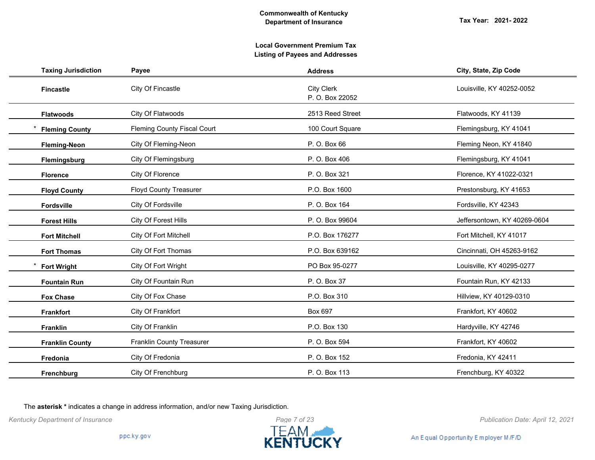# **Local Government Premium Tax Listing of Payees and Addresses**

| <b>Taxing Jurisdiction</b> | Payee                              | <b>Address</b>                       | City, State, Zip Code        |
|----------------------------|------------------------------------|--------------------------------------|------------------------------|
| <b>Fincastle</b>           | City Of Fincastle                  | <b>City Clerk</b><br>P. O. Box 22052 | Louisville, KY 40252-0052    |
| <b>Flatwoods</b>           | City Of Flatwoods                  | 2513 Reed Street                     | Flatwoods, KY 41139          |
| <b>Fleming County</b>      | <b>Fleming County Fiscal Court</b> | 100 Court Square                     | Flemingsburg, KY 41041       |
| <b>Fleming-Neon</b>        | City Of Fleming-Neon               | P. O. Box 66                         | Fleming Neon, KY 41840       |
| Flemingsburg               | City Of Flemingsburg               | P. O. Box 406                        | Flemingsburg, KY 41041       |
| <b>Florence</b>            | City Of Florence                   | P. O. Box 321                        | Florence, KY 41022-0321      |
| <b>Floyd County</b>        | <b>Floyd County Treasurer</b>      | P.O. Box 1600                        | Prestonsburg, KY 41653       |
| Fordsville                 | City Of Fordsville                 | P. O. Box 164                        | Fordsville, KY 42343         |
| <b>Forest Hills</b>        | City Of Forest Hills               | P. O. Box 99604                      | Jeffersontown, KY 40269-0604 |
| <b>Fort Mitchell</b>       | City Of Fort Mitchell              | P.O. Box 176277                      | Fort Mitchell, KY 41017      |
| <b>Fort Thomas</b>         | City Of Fort Thomas                | P.O. Box 639162                      | Cincinnati, OH 45263-9162    |
| <b>Fort Wright</b>         | City Of Fort Wright                | PO Box 95-0277                       | Louisville, KY 40295-0277    |
| <b>Fountain Run</b>        | City Of Fountain Run               | P. O. Box 37                         | Fountain Run, KY 42133       |
| <b>Fox Chase</b>           | City Of Fox Chase                  | P.O. Box 310                         | Hillview, KY 40129-0310      |
| <b>Frankfort</b>           | City Of Frankfort                  | Box 697                              | Frankfort, KY 40602          |
| <b>Franklin</b>            | City Of Franklin                   | P.O. Box 130                         | Hardyville, KY 42746         |
| <b>Franklin County</b>     | <b>Franklin County Treasurer</b>   | P. O. Box 594                        | Frankfort, KY 40602          |
| Fredonia                   | City Of Fredonia                   | P. O. Box 152                        | Fredonia, KY 42411           |
| Frenchburg                 | City Of Frenchburg                 | P. O. Box 113                        | Frenchburg, KY 40322         |

The **asterisk \*** indicates a change in address information, and/or new Taxing Jurisdiction.



*Kentucky Department of Insurance Publication Date: April 12, 2021*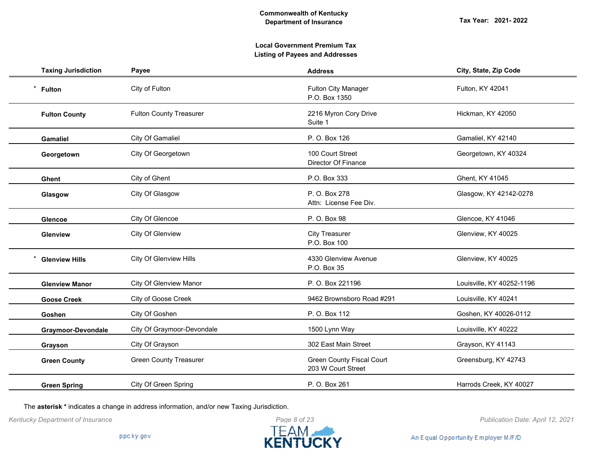# **Local Government Premium Tax Listing of Payees and Addresses**

| <b>Taxing Jurisdiction</b> | Payee                          | <b>Address</b>                                         | City, State, Zip Code     |
|----------------------------|--------------------------------|--------------------------------------------------------|---------------------------|
| $\star$<br><b>Fulton</b>   | City of Fulton                 | <b>Fulton City Manager</b><br>P.O. Box 1350            | Fulton, KY 42041          |
| <b>Fulton County</b>       | <b>Fulton County Treasurer</b> | 2216 Myron Cory Drive<br>Suite 1                       | Hickman, KY 42050         |
| <b>Gamaliel</b>            | City Of Gamaliel               | P. O. Box 126                                          | Gamaliel, KY 42140        |
| Georgetown                 | City Of Georgetown             | 100 Court Street<br>Director Of Finance                | Georgetown, KY 40324      |
| <b>Ghent</b>               | City of Ghent                  | P.O. Box 333                                           | Ghent, KY 41045           |
| Glasgow                    | City Of Glasgow                | P. O. Box 278<br>Attn: License Fee Div.                | Glasgow, KY 42142-0278    |
| <b>Glencoe</b>             | City Of Glencoe                | P. O. Box 98                                           | Glencoe, KY 41046         |
| Glenview                   | City Of Glenview               | <b>City Treasurer</b><br>P.O. Box 100                  | Glenview, KY 40025        |
| <b>Glenview Hills</b>      | City Of Glenview Hills         | 4330 Glenview Avenue<br>P.O. Box 35                    | Glenview, KY 40025        |
| <b>Glenview Manor</b>      | <b>City Of Glenview Manor</b>  | P. O. Box 221196                                       | Louisville, KY 40252-1196 |
| <b>Goose Creek</b>         | City of Goose Creek            | 9462 Brownsboro Road #291                              | Louisville, KY 40241      |
| Goshen                     | City Of Goshen                 | P. O. Box 112                                          | Goshen, KY 40026-0112     |
| Graymoor-Devondale         | City Of Graymoor-Devondale     | 1500 Lynn Way                                          | Louisville, KY 40222      |
| Grayson                    | City Of Grayson                | 302 East Main Street                                   | Grayson, KY 41143         |
| <b>Green County</b>        | <b>Green County Treasurer</b>  | <b>Green County Fiscal Court</b><br>203 W Court Street | Greensburg, KY 42743      |
| <b>Green Spring</b>        | City Of Green Spring           | P. O. Box 261                                          | Harrods Creek, KY 40027   |

The **asterisk \*** indicates a change in address information, and/or new Taxing Jurisdiction.

*Kentucky Department of Insurance Publication Date: April 12, 2021*



An Equal Opportunity Employer M/F/D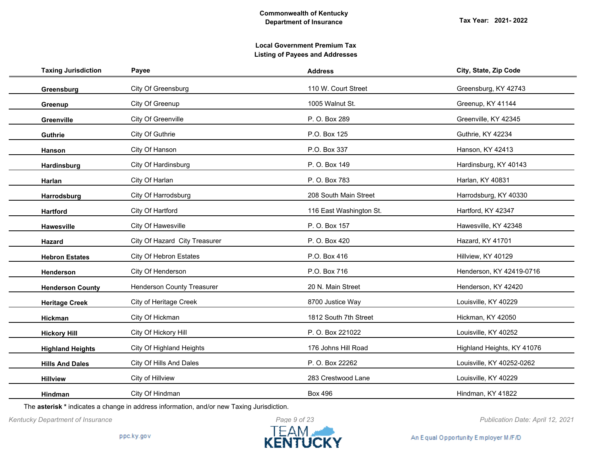| <b>Taxing Jurisdiction</b> | Payee                             | <b>Address</b>          | City, State, Zip Code      |
|----------------------------|-----------------------------------|-------------------------|----------------------------|
| Greensburg                 | City Of Greensburg                | 110 W. Court Street     | Greensburg, KY 42743       |
| Greenup                    | City Of Greenup                   | 1005 Walnut St.         | Greenup, KY 41144          |
| Greenville                 | City Of Greenville                | P. O. Box 289           | Greenville, KY 42345       |
| <b>Guthrie</b>             | City Of Guthrie                   | P.O. Box 125            | Guthrie, KY 42234          |
| Hanson                     | City Of Hanson                    | P.O. Box 337            | Hanson, KY 42413           |
| Hardinsburg                | City Of Hardinsburg               | P.O. Box 149            | Hardinsburg, KY 40143      |
| Harlan                     | City Of Harlan                    | P. O. Box 783           | Harlan, KY 40831           |
| Harrodsburg                | City Of Harrodsburg               | 208 South Main Street   | Harrodsburg, KY 40330      |
| <b>Hartford</b>            | City Of Hartford                  | 116 East Washington St. | Hartford, KY 42347         |
| <b>Hawesville</b>          | City Of Hawesville                | P. O. Box 157           | Hawesville, KY 42348       |
| Hazard                     | City Of Hazard City Treasurer     | P. O. Box 420           | Hazard, KY 41701           |
| <b>Hebron Estates</b>      | City Of Hebron Estates            | P.O. Box 416            | Hillview, KY 40129         |
| Henderson                  | City Of Henderson                 | P.O. Box 716            | Henderson, KY 42419-0716   |
| <b>Henderson County</b>    | <b>Henderson County Treasurer</b> | 20 N. Main Street       | Henderson, KY 42420        |
| <b>Heritage Creek</b>      | City of Heritage Creek            | 8700 Justice Way        | Louisville, KY 40229       |
| <b>Hickman</b>             | City Of Hickman                   | 1812 South 7th Street   | Hickman, KY 42050          |
| <b>Hickory Hill</b>        | City Of Hickory Hill              | P. O. Box 221022        | Louisville, KY 40252       |
| <b>Highland Heights</b>    | City Of Highland Heights          | 176 Johns Hill Road     | Highland Heights, KY 41076 |
| <b>Hills And Dales</b>     | City Of Hills And Dales           | P. O. Box 22262         | Louisville, KY 40252-0262  |
| <b>Hillview</b>            | City of Hillview                  | 283 Crestwood Lane      | Louisville, KY 40229       |
| <b>Hindman</b>             | City Of Hindman                   | <b>Box 496</b>          | Hindman, KY 41822          |

The **asterisk \*** indicates a change in address information, and/or new Taxing Jurisdiction.



An Equal Opportunity Employer M/F/D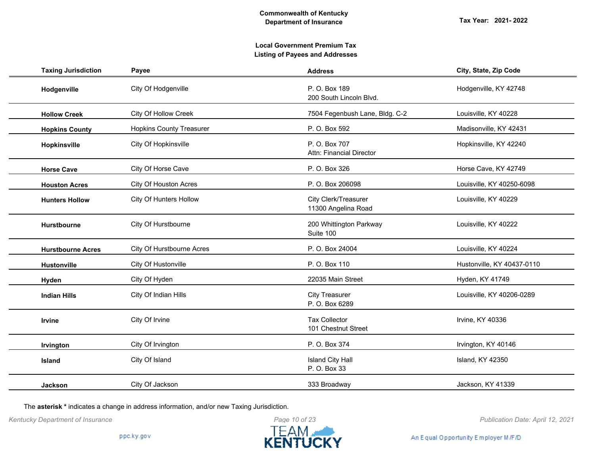# **Local Government Premium Tax Listing of Payees and Addresses**

| <b>Taxing Jurisdiction</b> | Payee                           | <b>Address</b>                              | City, State, Zip Code      |
|----------------------------|---------------------------------|---------------------------------------------|----------------------------|
| Hodgenville                | City Of Hodgenville             | P. O. Box 189<br>200 South Lincoln Blvd.    | Hodgenville, KY 42748      |
| <b>Hollow Creek</b>        | City Of Hollow Creek            | 7504 Fegenbush Lane, Bldg. C-2              | Louisville, KY 40228       |
| <b>Hopkins County</b>      | <b>Hopkins County Treasurer</b> | P. O. Box 592                               | Madisonville, KY 42431     |
| Hopkinsville               | City Of Hopkinsville            | P. O. Box 707<br>Attn: Financial Director   | Hopkinsville, KY 42240     |
| <b>Horse Cave</b>          | City Of Horse Cave              | P. O. Box 326                               | Horse Cave, KY 42749       |
| <b>Houston Acres</b>       | City Of Houston Acres           | P. O. Box 206098                            | Louisville, KY 40250-6098  |
| <b>Hunters Hollow</b>      | City Of Hunters Hollow          | City Clerk/Treasurer<br>11300 Angelina Road | Louisville, KY 40229       |
| Hurstbourne                | City Of Hurstbourne             | 200 Whittington Parkway<br>Suite 100        | Louisville, KY 40222       |
| <b>Hurstbourne Acres</b>   | City Of Hurstbourne Acres       | P. O. Box 24004                             | Louisville, KY 40224       |
| Hustonville                | City Of Hustonville             | P. O. Box 110                               | Hustonville, KY 40437-0110 |
| Hyden                      | City Of Hyden                   | 22035 Main Street                           | Hyden, KY 41749            |
| <b>Indian Hills</b>        | City Of Indian Hills            | <b>City Treasurer</b><br>P. O. Box 6289     | Louisville, KY 40206-0289  |
| Irvine                     | City Of Irvine                  | <b>Tax Collector</b><br>101 Chestnut Street | Irvine, KY 40336           |
| Irvington                  | City Of Irvington               | P. O. Box 374                               | Irvington, KY 40146        |
| Island                     | City Of Island                  | <b>Island City Hall</b><br>P. O. Box 33     | Island, KY 42350           |
| <b>Jackson</b>             | City Of Jackson                 | 333 Broadway                                | Jackson, KY 41339          |

The **asterisk \*** indicates a change in address information, and/or new Taxing Jurisdiction.



*Kentucky Department of Insurance Publication Date: April 12, 2021*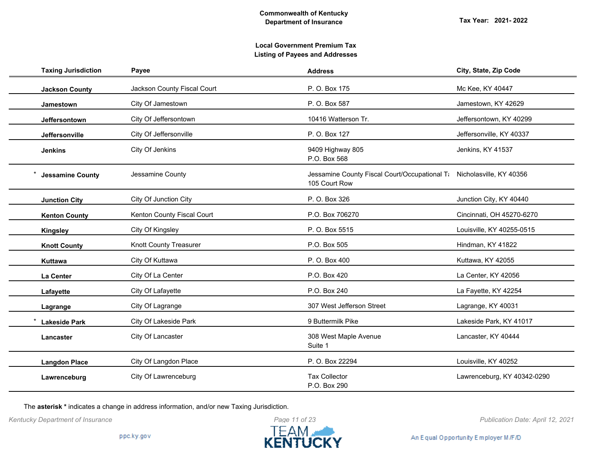| <b>Taxing Jurisdiction</b> | Payee                       | <b>Address</b>                                                                         | City, State, Zip Code       |
|----------------------------|-----------------------------|----------------------------------------------------------------------------------------|-----------------------------|
| <b>Jackson County</b>      | Jackson County Fiscal Court | P. O. Box 175                                                                          | Mc Kee, KY 40447            |
| Jamestown                  | City Of Jamestown           | P. O. Box 587                                                                          | Jamestown, KY 42629         |
| Jeffersontown              | City Of Jeffersontown       | 10416 Watterson Tr.                                                                    | Jeffersontown, KY 40299     |
| Jeffersonville             | City Of Jeffersonville      | P. O. Box 127                                                                          | Jeffersonville, KY 40337    |
| <b>Jenkins</b>             | City Of Jenkins             | 9409 Highway 805<br>P.O. Box 568                                                       | Jenkins, KY 41537           |
| <b>Jessamine County</b>    | Jessamine County            | Jessamine County Fiscal Court/Occupational Ti Nicholasville, KY 40356<br>105 Court Row |                             |
| <b>Junction City</b>       | City Of Junction City       | P. O. Box 326                                                                          | Junction City, KY 40440     |
| <b>Kenton County</b>       | Kenton County Fiscal Court  | P.O. Box 706270                                                                        | Cincinnati, OH 45270-6270   |
| <b>Kingsley</b>            | City Of Kingsley            | P. O. Box 5515                                                                         | Louisville, KY 40255-0515   |
| <b>Knott County</b>        | Knott County Treasurer      | P.O. Box 505                                                                           | Hindman, KY 41822           |
| Kuttawa                    | City Of Kuttawa             | P. O. Box 400                                                                          | Kuttawa, KY 42055           |
| La Center                  | City Of La Center           | P.O. Box 420                                                                           | La Center, KY 42056         |
| Lafayette                  | City Of Lafayette           | P.O. Box 240                                                                           | La Fayette, KY 42254        |
| Lagrange                   | City Of Lagrange            | 307 West Jefferson Street                                                              | Lagrange, KY 40031          |
| <b>Lakeside Park</b>       | City Of Lakeside Park       | 9 Buttermilk Pike                                                                      | Lakeside Park, KY 41017     |
| Lancaster                  | City Of Lancaster           | 308 West Maple Avenue<br>Suite 1                                                       | Lancaster, KY 40444         |
| <b>Langdon Place</b>       | City Of Langdon Place       | P. O. Box 22294                                                                        | Louisville, KY 40252        |
| Lawrenceburg               | City Of Lawrenceburg        | <b>Tax Collector</b><br>P.O. Box 290                                                   | Lawrenceburg, KY 40342-0290 |

The **asterisk \*** indicates a change in address information, and/or new Taxing Jurisdiction.

*Kentucky Department of Insurance Publication Date: April 12, 2021*



An Equal Opportunity Employer M/F/D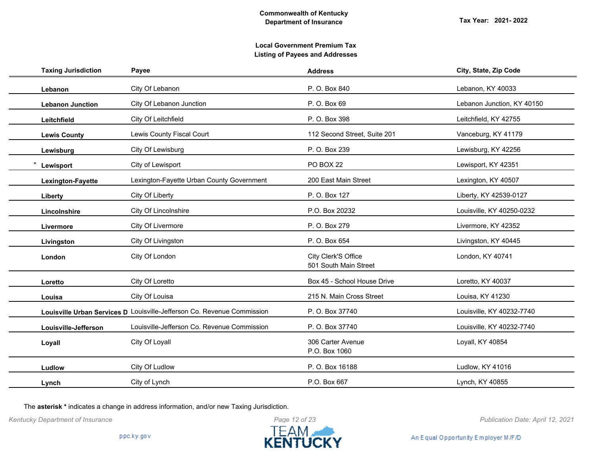| <b>Taxing Jurisdiction</b> | Payee                                                                   | <b>Address</b>                               | City, State, Zip Code      |
|----------------------------|-------------------------------------------------------------------------|----------------------------------------------|----------------------------|
| Lebanon                    | City Of Lebanon                                                         | P. O. Box 840                                | Lebanon, KY 40033          |
| <b>Lebanon Junction</b>    | City Of Lebanon Junction                                                | P. O. Box 69                                 | Lebanon Junction, KY 40150 |
| Leitchfield                | City Of Leitchfield                                                     | P. O. Box 398                                | Leitchfield, KY 42755      |
| <b>Lewis County</b>        | Lewis County Fiscal Court                                               | 112 Second Street, Suite 201                 | Vanceburg, KY 41179        |
| Lewisburg                  | City Of Lewisburg                                                       | P. O. Box 239                                | Lewisburg, KY 42256        |
| Lewisport                  | City of Lewisport                                                       | PO BOX 22                                    | Lewisport, KY 42351        |
| Lexington-Fayette          | Lexington-Fayette Urban County Government                               | 200 East Main Street                         | Lexington, KY 40507        |
| Liberty                    | City Of Liberty                                                         | P. O. Box 127                                | Liberty, KY 42539-0127     |
| Lincolnshire               | City Of Lincolnshire                                                    | P.O. Box 20232                               | Louisville, KY 40250-0232  |
| Livermore                  | City Of Livermore                                                       | P. O. Box 279                                | Livermore, KY 42352        |
| Livingston                 | City Of Livingston                                                      | P. O. Box 654                                | Livingston, KY 40445       |
| London                     | City Of London                                                          | City Clerk'S Office<br>501 South Main Street | London, KY 40741           |
| Loretto                    | City Of Loretto                                                         | Box 45 - School House Drive                  | Loretto, KY 40037          |
| Louisa                     | City Of Louisa                                                          | 215 N. Main Cross Street                     | Louisa, KY 41230           |
|                            | Louisville Urban Services D Louisville-Jefferson Co. Revenue Commission | P. O. Box 37740                              | Louisville, KY 40232-7740  |
| Louisville-Jefferson       | Louisville-Jefferson Co. Revenue Commission                             | P. O. Box 37740                              | Louisville, KY 40232-7740  |
| Loyall                     | City Of Loyall                                                          | 306 Carter Avenue<br>P.O. Box 1060           | Loyall, KY 40854           |
| Ludlow                     | City Of Ludlow                                                          | P. O. Box 16188                              | Ludlow, KY 41016           |
| Lynch                      | City of Lynch                                                           | P.O. Box 667                                 | Lynch, KY 40855            |

The **asterisk \*** indicates a change in address information, and/or new Taxing Jurisdiction.

*Kentucky Department of Insurance Publication Date: April 12, 2021*

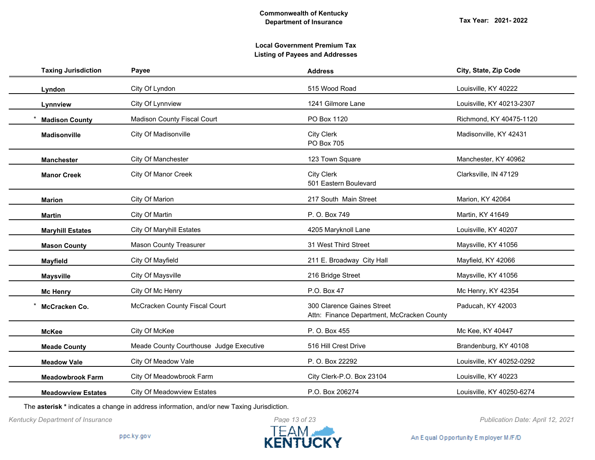| <b>Taxing Jurisdiction</b> | Payee                                   | <b>Address</b>                                                           | City, State, Zip Code     |
|----------------------------|-----------------------------------------|--------------------------------------------------------------------------|---------------------------|
| Lyndon                     | City Of Lyndon                          | 515 Wood Road                                                            | Louisville, KY 40222      |
| Lynnview                   | City Of Lynnview                        | 1241 Gilmore Lane                                                        | Louisville, KY 40213-2307 |
| <b>Madison County</b>      | <b>Madison County Fiscal Court</b>      | PO Box 1120                                                              | Richmond, KY 40475-1120   |
| <b>Madisonville</b>        | City Of Madisonville                    | <b>City Clerk</b><br>PO Box 705                                          | Madisonville, KY 42431    |
| <b>Manchester</b>          | City Of Manchester                      | 123 Town Square                                                          | Manchester, KY 40962      |
| <b>Manor Creek</b>         | <b>City Of Manor Creek</b>              | <b>City Clerk</b><br>501 Eastern Boulevard                               | Clarksville, IN 47129     |
| <b>Marion</b>              | City Of Marion                          | 217 South Main Street                                                    | Marion, KY 42064          |
| <b>Martin</b>              | City Of Martin                          | P. O. Box 749                                                            | Martin, KY 41649          |
| <b>Maryhill Estates</b>    | <b>City Of Maryhill Estates</b>         | 4205 Maryknoll Lane                                                      | Louisville, KY 40207      |
| <b>Mason County</b>        | <b>Mason County Treasurer</b>           | 31 West Third Street                                                     | Maysville, KY 41056       |
| <b>Mayfield</b>            | City Of Mayfield                        | 211 E. Broadway City Hall                                                | Mayfield, KY 42066        |
| <b>Maysville</b>           | City Of Maysville                       | 216 Bridge Street                                                        | Maysville, KY 41056       |
| <b>Mc Henry</b>            | City Of Mc Henry                        | P.O. Box 47                                                              | Mc Henry, KY 42354        |
| McCracken Co.              | McCracken County Fiscal Court           | 300 Clarence Gaines Street<br>Attn: Finance Department, McCracken County | Paducah, KY 42003         |
| <b>McKee</b>               | City Of McKee                           | P. O. Box 455                                                            | Mc Kee, KY 40447          |
| <b>Meade County</b>        | Meade County Courthouse Judge Executive | 516 Hill Crest Drive                                                     | Brandenburg, KY 40108     |
| <b>Meadow Vale</b>         | City Of Meadow Vale                     | P. O. Box 22292                                                          | Louisville, KY 40252-0292 |
| <b>Meadowbrook Farm</b>    | City Of Meadowbrook Farm                | City Clerk-P.O. Box 23104                                                | Louisville, KY 40223      |
| <b>Meadowview Estates</b>  | <b>City Of Meadowview Estates</b>       | P.O. Box 206274                                                          | Louisville, KY 40250-6274 |

The **asterisk \*** indicates a change in address information, and/or new Taxing Jurisdiction.

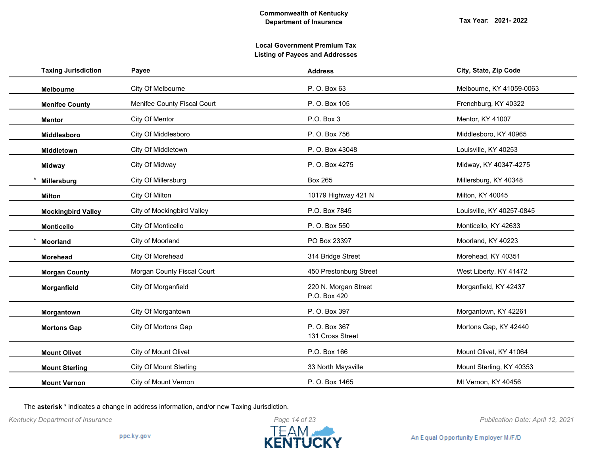# **Local Government Premium Tax Listing of Payees and Addresses**

| <b>Taxing Jurisdiction</b> | Payee                         | <b>Address</b>                       | City, State, Zip Code     |
|----------------------------|-------------------------------|--------------------------------------|---------------------------|
| <b>Melbourne</b>           | City Of Melbourne             | P. O. Box 63                         | Melbourne, KY 41059-0063  |
| <b>Menifee County</b>      | Menifee County Fiscal Court   | P. O. Box 105                        | Frenchburg, KY 40322      |
| <b>Mentor</b>              | City Of Mentor                | P.O. Box 3                           | Mentor, KY 41007          |
| Middlesboro                | City Of Middlesboro           | P. O. Box 756                        | Middlesboro, KY 40965     |
| Middletown                 | City Of Middletown            | P. O. Box 43048                      | Louisville, KY 40253      |
| <b>Midway</b>              | City Of Midway                | P. O. Box 4275                       | Midway, KY 40347-4275     |
| Millersburg                | City Of Millersburg           | <b>Box 265</b>                       | Millersburg, KY 40348     |
| <b>Milton</b>              | City Of Milton                | 10179 Highway 421 N                  | Milton, KY 40045          |
| <b>Mockingbird Valley</b>  | City of Mockingbird Valley    | P.O. Box 7845                        | Louisville, KY 40257-0845 |
| <b>Monticello</b>          | City Of Monticello            | P. O. Box 550                        | Monticello, KY 42633      |
| <b>Moorland</b>            | City of Moorland              | PO Box 23397                         | Moorland, KY 40223        |
| <b>Morehead</b>            | City Of Morehead              | 314 Bridge Street                    | Morehead, KY 40351        |
| <b>Morgan County</b>       | Morgan County Fiscal Court    | 450 Prestonburg Street               | West Liberty, KY 41472    |
| Morganfield                | City Of Morganfield           | 220 N. Morgan Street<br>P.O. Box 420 | Morganfield, KY 42437     |
| Morgantown                 | City Of Morgantown            | P. O. Box 397                        | Morgantown, KY 42261      |
| <b>Mortons Gap</b>         | City Of Mortons Gap           | P. O. Box 367<br>131 Cross Street    | Mortons Gap, KY 42440     |
| <b>Mount Olivet</b>        | City of Mount Olivet          | P.O. Box 166                         | Mount Olivet, KY 41064    |
| <b>Mount Sterling</b>      | <b>City Of Mount Sterling</b> | 33 North Maysville                   | Mount Sterling, KY 40353  |
| <b>Mount Vernon</b>        | <b>City of Mount Vernon</b>   | P. O. Box 1465                       | Mt Vernon, KY 40456       |

The **asterisk \*** indicates a change in address information, and/or new Taxing Jurisdiction.



An Equal Opportunity Employer M/F/D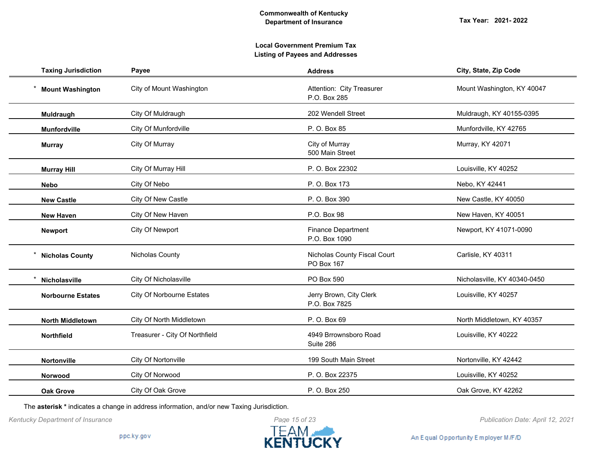# **Local Government Premium Tax Listing of Payees and Addresses**

| <b>Taxing Jurisdiction</b> | Payee                            | <b>Address</b>                             | City, State, Zip Code        |
|----------------------------|----------------------------------|--------------------------------------------|------------------------------|
| <b>Mount Washington</b>    | City of Mount Washington         | Attention: City Treasurer<br>P.O. Box 285  | Mount Washington, KY 40047   |
| Muldraugh                  | City Of Muldraugh                | 202 Wendell Street                         | Muldraugh, KY 40155-0395     |
| <b>Munfordville</b>        | City Of Munfordville             | P. O. Box 85                               | Munfordville, KY 42765       |
| <b>Murray</b>              | City Of Murray                   | City of Murray<br>500 Main Street          | Murray, KY 42071             |
| <b>Murray Hill</b>         | City Of Murray Hill              | P. O. Box 22302                            | Louisville, KY 40252         |
| <b>Nebo</b>                | City Of Nebo                     | P. O. Box 173                              | Nebo, KY 42441               |
| <b>New Castle</b>          | City Of New Castle               | P. O. Box 390                              | New Castle, KY 40050         |
| <b>New Haven</b>           | City Of New Haven                | P.O. Box 98                                | New Haven, KY 40051          |
| <b>Newport</b>             | City Of Newport                  | <b>Finance Department</b><br>P.O. Box 1090 | Newport, KY 41071-0090       |
| <b>Nicholas County</b>     | Nicholas County                  | Nicholas County Fiscal Court<br>PO Box 167 | Carlisle, KY 40311           |
| Nicholasville              | City Of Nicholasville            | PO Box 590                                 | Nicholasville, KY 40340-0450 |
| <b>Norbourne Estates</b>   | <b>City Of Norbourne Estates</b> | Jerry Brown, City Clerk<br>P.O. Box 7825   | Louisville, KY 40257         |
| <b>North Middletown</b>    | City Of North Middletown         | P. O. Box 69                               | North Middletown, KY 40357   |
| Northfield                 | Treasurer - City Of Northfield   | 4949 Brrownsboro Road<br>Suite 286         | Louisville, KY 40222         |
| Nortonville                | City Of Nortonville              | 199 South Main Street                      | Nortonville, KY 42442        |
| Norwood                    | City Of Norwood                  | P. O. Box 22375                            | Louisville, KY 40252         |
| <b>Oak Grove</b>           | City Of Oak Grove                | P. O. Box 250                              | Oak Grove, KY 42262          |

The **asterisk \*** indicates a change in address information, and/or new Taxing Jurisdiction.

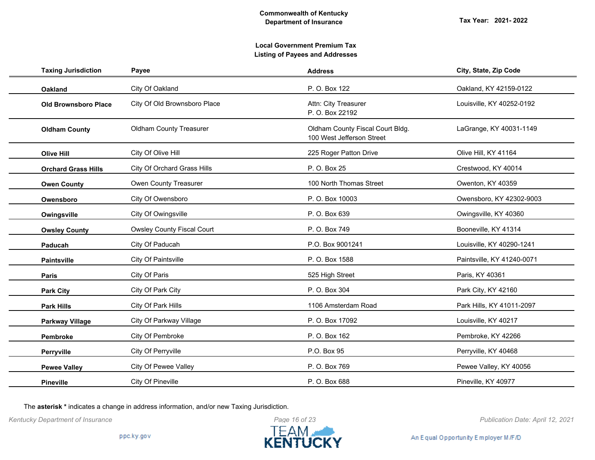| <b>Taxing Jurisdiction</b>  | Payee                             | <b>Address</b>                                                | City, State, Zip Code      |
|-----------------------------|-----------------------------------|---------------------------------------------------------------|----------------------------|
| <b>Oakland</b>              | City Of Oakland                   | P. O. Box 122                                                 | Oakland, KY 42159-0122     |
| <b>Old Brownsboro Place</b> | City Of Old Brownsboro Place      | Attn: City Treasurer<br>P. O. Box 22192                       | Louisville, KY 40252-0192  |
| <b>Oldham County</b>        | <b>Oldham County Treasurer</b>    | Oldham County Fiscal Court Bldg.<br>100 West Jefferson Street | LaGrange, KY 40031-1149    |
| <b>Olive Hill</b>           | City Of Olive Hill                | 225 Roger Patton Drive                                        | Olive Hill, KY 41164       |
| <b>Orchard Grass Hills</b>  | City Of Orchard Grass Hills       | P. O. Box 25                                                  | Crestwood, KY 40014        |
| <b>Owen County</b>          | Owen County Treasurer             | 100 North Thomas Street                                       | Owenton, KY 40359          |
| Owensboro                   | City Of Owensboro                 | P. O. Box 10003                                               | Owensboro, KY 42302-9003   |
| Owingsville                 | City Of Owingsville               | P. O. Box 639                                                 | Owingsville, KY 40360      |
| <b>Owsley County</b>        | <b>Owsley County Fiscal Court</b> | P. O. Box 749                                                 | Booneville, KY 41314       |
| Paducah                     | City Of Paducah                   | P.O. Box 9001241                                              | Louisville, KY 40290-1241  |
| <b>Paintsville</b>          | <b>City Of Paintsville</b>        | P. O. Box 1588                                                | Paintsville, KY 41240-0071 |
| Paris                       | City Of Paris                     | 525 High Street                                               | Paris, KY 40361            |
| <b>Park City</b>            | City Of Park City                 | P. O. Box 304                                                 | Park City, KY 42160        |
| <b>Park Hills</b>           | City Of Park Hills                | 1106 Amsterdam Road                                           | Park Hills, KY 41011-2097  |
| <b>Parkway Village</b>      | City Of Parkway Village           | P. O. Box 17092                                               | Louisville, KY 40217       |
| Pembroke                    | City Of Pembroke                  | P. O. Box 162                                                 | Pembroke, KY 42266         |
| Perryville                  | City Of Perryville                | P.O. Box 95                                                   | Perryville, KY 40468       |
| <b>Pewee Valley</b>         | City Of Pewee Valley              | P. O. Box 769                                                 | Pewee Valley, KY 40056     |
| <b>Pineville</b>            | City Of Pineville                 | P. O. Box 688                                                 | Pineville, KY 40977        |

The **asterisk \*** indicates a change in address information, and/or new Taxing Jurisdiction.

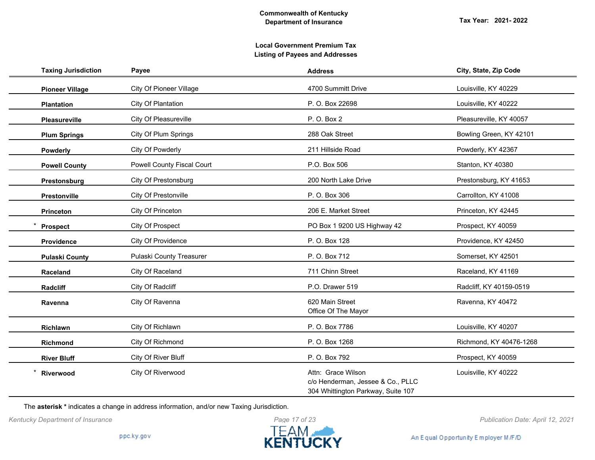| <b>Taxing Jurisdiction</b> | Payee                             | <b>Address</b>                                                                                | City, State, Zip Code   |
|----------------------------|-----------------------------------|-----------------------------------------------------------------------------------------------|-------------------------|
| <b>Pioneer Village</b>     | <b>City Of Pioneer Village</b>    | 4700 Summitt Drive                                                                            | Louisville, KY 40229    |
| <b>Plantation</b>          | City Of Plantation                | P. O. Box 22698                                                                               | Louisville, KY 40222    |
| <b>Pleasureville</b>       | City Of Pleasureville             | P. O. Box 2                                                                                   | Pleasureville, KY 40057 |
| <b>Plum Springs</b>        | City Of Plum Springs              | 288 Oak Street                                                                                | Bowling Green, KY 42101 |
| <b>Powderly</b>            | City Of Powderly                  | 211 Hillside Road                                                                             | Powderly, KY 42367      |
| <b>Powell County</b>       | <b>Powell County Fiscal Court</b> | P.O. Box 506                                                                                  | Stanton, KY 40380       |
| Prestonsburg               | City Of Prestonsburg              | 200 North Lake Drive                                                                          | Prestonsburg, KY 41653  |
| Prestonville               | City Of Prestonville              | P. O. Box 306                                                                                 | Carrollton, KY 41008    |
| Princeton                  | City Of Princeton                 | 206 E. Market Street                                                                          | Princeton, KY 42445     |
| <b>Prospect</b>            | City Of Prospect                  | PO Box 1 9200 US Highway 42                                                                   | Prospect, KY 40059      |
| Providence                 | City Of Providence                | P. O. Box 128                                                                                 | Providence, KY 42450    |
| <b>Pulaski County</b>      | Pulaski County Treasurer          | P. O. Box 712                                                                                 | Somerset, KY 42501      |
| Raceland                   | City Of Raceland                  | 711 Chinn Street                                                                              | Raceland, KY 41169      |
| Radcliff                   | City Of Radcliff                  | P.O. Drawer 519                                                                               | Radcliff, KY 40159-0519 |
| Ravenna                    | City Of Ravenna                   | 620 Main Street<br>Office Of The Mayor                                                        | Ravenna, KY 40472       |
| Richlawn                   | City Of Richlawn                  | P. O. Box 7786                                                                                | Louisville, KY 40207    |
| <b>Richmond</b>            | City Of Richmond                  | P. O. Box 1268                                                                                | Richmond, KY 40476-1268 |
| <b>River Bluff</b>         | City Of River Bluff               | P. O. Box 792                                                                                 | Prospect, KY 40059      |
| Riverwood                  | City Of Riverwood                 | Attn: Grace Wilson<br>c/o Henderman, Jessee & Co., PLLC<br>304 Whittington Parkway, Suite 107 | Louisville, KY 40222    |

The **asterisk \*** indicates a change in address information, and/or new Taxing Jurisdiction.



*Kentucky Department of Insurance Publication Date: April 12, 2021*

An Equal Opportunity Employer M/F/D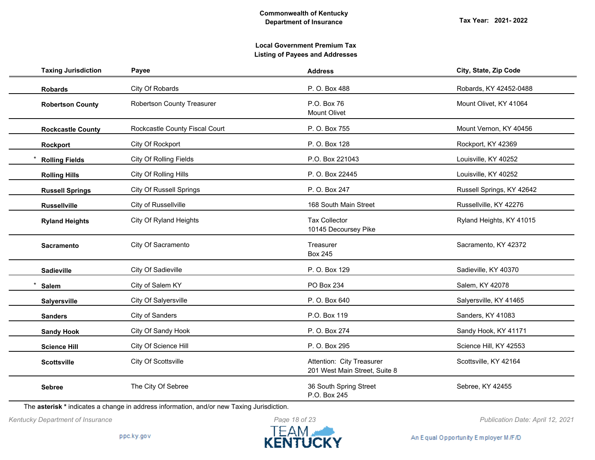# **Local Government Premium Tax Listing of Payees and Addresses**

| <b>Taxing Jurisdiction</b> | Payee                             | <b>Address</b>                                             | City, State, Zip Code     |
|----------------------------|-----------------------------------|------------------------------------------------------------|---------------------------|
| <b>Robards</b>             | City Of Robards                   | P. O. Box 488                                              | Robards, KY 42452-0488    |
| <b>Robertson County</b>    | <b>Robertson County Treasurer</b> | P.O. Box 76<br><b>Mount Olivet</b>                         | Mount Olivet, KY 41064    |
| <b>Rockcastle County</b>   | Rockcastle County Fiscal Court    | P. O. Box 755                                              | Mount Vernon, KY 40456    |
| <b>Rockport</b>            | City Of Rockport                  | P. O. Box 128                                              | Rockport, KY 42369        |
| <b>Rolling Fields</b>      | <b>City Of Rolling Fields</b>     | P.O. Box 221043                                            | Louisville, KY 40252      |
| <b>Rolling Hills</b>       | City Of Rolling Hills             | P. O. Box 22445                                            | Louisville, KY 40252      |
| <b>Russell Springs</b>     | <b>City Of Russell Springs</b>    | P. O. Box 247                                              | Russell Springs, KY 42642 |
| <b>Russellville</b>        | City of Russellville              | 168 South Main Street                                      | Russellville, KY 42276    |
| <b>Ryland Heights</b>      | City Of Ryland Heights            | <b>Tax Collector</b><br>10145 Decoursey Pike               | Ryland Heights, KY 41015  |
| <b>Sacramento</b>          | City Of Sacramento                | Treasurer<br><b>Box 245</b>                                | Sacramento, KY 42372      |
| <b>Sadieville</b>          | City Of Sadieville                | P. O. Box 129                                              | Sadieville, KY 40370      |
| <b>Salem</b>               | City of Salem KY                  | PO Box 234                                                 | Salem, KY 42078           |
| Salyersville               | City Of Salyersville              | P. O. Box 640                                              | Salyersville, KY 41465    |
| <b>Sanders</b>             | City of Sanders                   | P.O. Box 119                                               | Sanders, KY 41083         |
| <b>Sandy Hook</b>          | City Of Sandy Hook                | P. O. Box 274                                              | Sandy Hook, KY 41171      |
| <b>Science Hill</b>        | City Of Science Hill              | P. O. Box 295                                              | Science Hill, KY 42553    |
| <b>Scottsville</b>         | City Of Scottsville               | Attention: City Treasurer<br>201 West Main Street, Suite 8 | Scottsville, KY 42164     |
| <b>Sebree</b>              | The City Of Sebree                | 36 South Spring Street<br>P.O. Box 245                     | Sebree, KY 42455          |

The **asterisk \*** indicates a change in address information, and/or new Taxing Jurisdiction.

*Kentucky Department of Insurance Publication Date: April 12, 2021*

An Equal Opportunity Employer M/F/D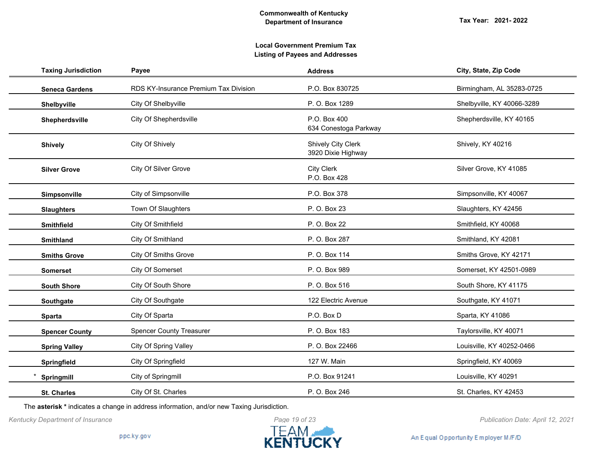| <b>Taxing Jurisdiction</b> | Payee                                 | <b>Address</b>                                  | City, State, Zip Code      |
|----------------------------|---------------------------------------|-------------------------------------------------|----------------------------|
| <b>Seneca Gardens</b>      | RDS KY-Insurance Premium Tax Division | P.O. Box 830725                                 | Birmingham, AL 35283-0725  |
| Shelbyville                | City Of Shelbyville                   | P. O. Box 1289                                  | Shelbyville, KY 40066-3289 |
| Shepherdsville             | City Of Shepherdsville                | P.O. Box 400<br>634 Conestoga Parkway           | Shepherdsville, KY 40165   |
| <b>Shively</b>             | City Of Shively                       | <b>Shively City Clerk</b><br>3920 Dixie Highway | Shively, KY 40216          |
| <b>Silver Grove</b>        | City Of Silver Grove                  | <b>City Clerk</b><br>P.O. Box 428               | Silver Grove, KY 41085     |
| Simpsonville               | City of Simpsonville                  | P.O. Box 378                                    | Simpsonville, KY 40067     |
| <b>Slaughters</b>          | Town Of Slaughters                    | P. O. Box 23                                    | Slaughters, KY 42456       |
| <b>Smithfield</b>          | City Of Smithfield                    | P. O. Box 22                                    | Smithfield, KY 40068       |
| <b>Smithland</b>           | City Of Smithland                     | P. O. Box 287                                   | Smithland, KY 42081        |
| <b>Smiths Grove</b>        | <b>City Of Smiths Grove</b>           | P. O. Box 114                                   | Smiths Grove, KY 42171     |
| <b>Somerset</b>            | City Of Somerset                      | P. O. Box 989                                   | Somerset, KY 42501-0989    |
| <b>South Shore</b>         | City Of South Shore                   | P. O. Box 516                                   | South Shore, KY 41175      |
| Southgate                  | City Of Southgate                     | 122 Electric Avenue                             | Southgate, KY 41071        |
| <b>Sparta</b>              | City Of Sparta                        | P.O. Box D                                      | Sparta, KY 41086           |
| <b>Spencer County</b>      | <b>Spencer County Treasurer</b>       | P. O. Box 183                                   | Taylorsville, KY 40071     |
| <b>Spring Valley</b>       | <b>City Of Spring Valley</b>          | P. O. Box 22466                                 | Louisville, KY 40252-0466  |
| Springfield                | City Of Springfield                   | 127 W. Main                                     | Springfield, KY 40069      |
| Springmill                 | City of Springmill                    | P.O. Box 91241                                  | Louisville, KY 40291       |
| <b>St. Charles</b>         | City Of St. Charles                   | P. O. Box 246                                   | St. Charles, KY 42453      |

The **asterisk \*** indicates a change in address information, and/or new Taxing Jurisdiction.



An Equal Opportunity Employer M/F/D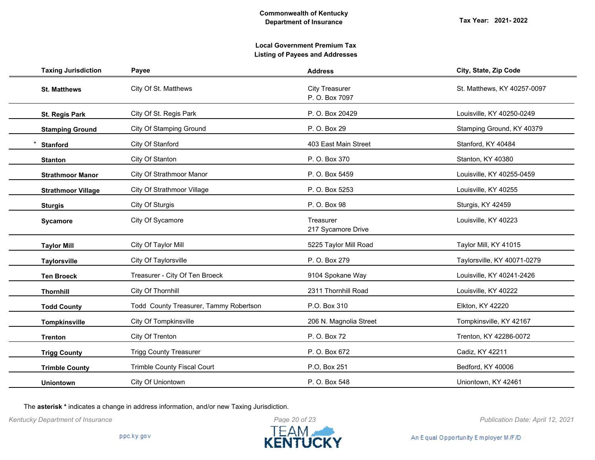# **Local Government Premium Tax Listing of Payees and Addresses**

| <b>Taxing Jurisdiction</b> | Payee                                  | <b>Address</b>                          | City, State, Zip Code       |
|----------------------------|----------------------------------------|-----------------------------------------|-----------------------------|
| <b>St. Matthews</b>        | City Of St. Matthews                   | <b>City Treasurer</b><br>P. O. Box 7097 | St. Matthews, KY 40257-0097 |
| <b>St. Regis Park</b>      | City Of St. Regis Park                 | P. O. Box 20429                         | Louisville, KY 40250-0249   |
| <b>Stamping Ground</b>     | City Of Stamping Ground                | P. O. Box 29                            | Stamping Ground, KY 40379   |
| <b>Stanford</b>            | City Of Stanford                       | 403 East Main Street                    | Stanford, KY 40484          |
| <b>Stanton</b>             | City Of Stanton                        | P. O. Box 370                           | Stanton, KY 40380           |
| <b>Strathmoor Manor</b>    | City Of Strathmoor Manor               | P. O. Box 5459                          | Louisville, KY 40255-0459   |
| <b>Strathmoor Village</b>  | <b>City Of Strathmoor Village</b>      | P. O. Box 5253                          | Louisville, KY 40255        |
| <b>Sturgis</b>             | City Of Sturgis                        | P. O. Box 98                            | Sturgis, KY 42459           |
| Sycamore                   | City Of Sycamore                       | Treasurer<br>217 Sycamore Drive         | Louisville, KY 40223        |
| <b>Taylor Mill</b>         | City Of Taylor Mill                    | 5225 Taylor Mill Road                   | Taylor Mill, KY 41015       |
| <b>Taylorsville</b>        | City Of Taylorsville                   | P. O. Box 279                           | Taylorsville, KY 40071-0279 |
| <b>Ten Broeck</b>          | Treasurer - City Of Ten Broeck         | 9104 Spokane Way                        | Louisville, KY 40241-2426   |
| Thornhill                  | City Of Thornhill                      | 2311 Thornhill Road                     | Louisville, KY 40222        |
| <b>Todd County</b>         | Todd County Treasurer, Tammy Robertson | P.O. Box 310                            | Elkton, KY 42220            |
| <b>Tompkinsville</b>       | City Of Tompkinsville                  | 206 N. Magnolia Street                  | Tompkinsville, KY 42167     |
| <b>Trenton</b>             | City Of Trenton                        | P. O. Box 72                            | Trenton, KY 42286-0072      |
| <b>Trigg County</b>        | <b>Trigg County Treasurer</b>          | P. O. Box 672                           | Cadiz, KY 42211             |
| <b>Trimble County</b>      | Trimble County Fiscal Court            | P.O, Box 251                            | Bedford, KY 40006           |
| <b>Uniontown</b>           | City Of Uniontown                      | P. O. Box 548                           | Uniontown, KY 42461         |

The **asterisk \*** indicates a change in address information, and/or new Taxing Jurisdiction.



An Equal Opportunity Employer M/F/D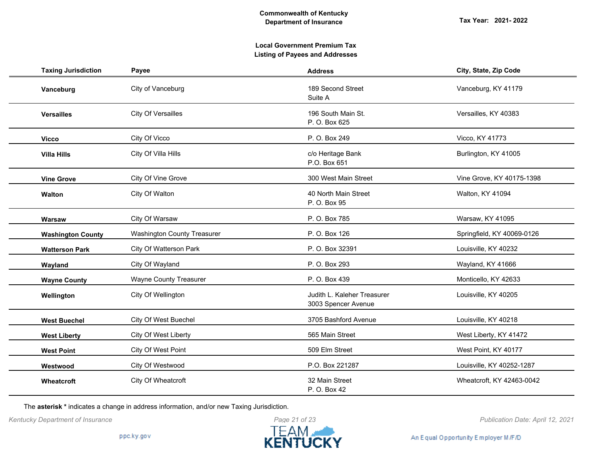| <b>Taxing Jurisdiction</b> | Payee                              | <b>Address</b>                                     | City, State, Zip Code      |
|----------------------------|------------------------------------|----------------------------------------------------|----------------------------|
| Vanceburg                  | City of Vanceburg                  | 189 Second Street<br>Suite A                       | Vanceburg, KY 41179        |
| <b>Versailles</b>          | <b>City Of Versailles</b>          | 196 South Main St.<br>P. O. Box 625                | Versailles, KY 40383       |
| <b>Vicco</b>               | City Of Vicco                      | P. O. Box 249                                      | Vicco, KY 41773            |
| <b>Villa Hills</b>         | City Of Villa Hills                | c/o Heritage Bank<br>P.O. Box 651                  | Burlington, KY 41005       |
| <b>Vine Grove</b>          | City Of Vine Grove                 | 300 West Main Street                               | Vine Grove, KY 40175-1398  |
| <b>Walton</b>              | City Of Walton                     | 40 North Main Street<br>P. O. Box 95               | Walton, KY 41094           |
| Warsaw                     | City Of Warsaw                     | P. O. Box 785                                      | Warsaw, KY 41095           |
| <b>Washington County</b>   | <b>Washington County Treasurer</b> | P. O. Box 126                                      | Springfield, KY 40069-0126 |
| <b>Watterson Park</b>      | City Of Watterson Park             | P. O. Box 32391                                    | Louisville, KY 40232       |
| Wayland                    | City Of Wayland                    | P. O. Box 293                                      | Wayland, KY 41666          |
| <b>Wayne County</b>        | <b>Wayne County Treasurer</b>      | P. O. Box 439                                      | Monticello, KY 42633       |
| Wellington                 | City Of Wellington                 | Judith L. Kaleher Treasurer<br>3003 Spencer Avenue | Louisville, KY 40205       |
| <b>West Buechel</b>        | City Of West Buechel               | 3705 Bashford Avenue                               | Louisville, KY 40218       |
| <b>West Liberty</b>        | City Of West Liberty               | 565 Main Street                                    | West Liberty, KY 41472     |
| <b>West Point</b>          | City Of West Point                 | 509 Elm Street                                     | West Point, KY 40177       |
| Westwood                   | City Of Westwood                   | P.O. Box 221287                                    | Louisville, KY 40252-1287  |
| Wheatcroft                 | City Of Wheatcroft                 | 32 Main Street<br>P. O. Box 42                     | Wheatcroft, KY 42463-0042  |

The **asterisk \*** indicates a change in address information, and/or new Taxing Jurisdiction.



*Kentucky Department of Insurance Publication Date: April 12, 2021*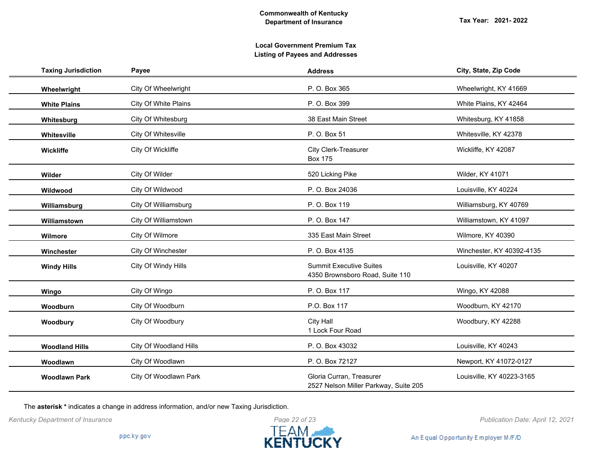| <b>Taxing Jurisdiction</b> | Payee                  | <b>Address</b>                                                    | City, State, Zip Code     |
|----------------------------|------------------------|-------------------------------------------------------------------|---------------------------|
| Wheelwright                | City Of Wheelwright    | P. O. Box 365                                                     | Wheelwright, KY 41669     |
| <b>White Plains</b>        | City Of White Plains   | P. O. Box 399                                                     | White Plains, KY 42464    |
| Whitesburg                 | City Of Whitesburg     | 38 East Main Street                                               | Whitesburg, KY 41858      |
| Whitesville                | City Of Whitesville    | P. O. Box 51                                                      | Whitesville, KY 42378     |
| Wickliffe                  | City Of Wickliffe      | City Clerk-Treasurer<br><b>Box 175</b>                            | Wickliffe, KY 42087       |
| Wilder                     | City Of Wilder         | 520 Licking Pike                                                  | <b>Wilder, KY 41071</b>   |
| Wildwood                   | City Of Wildwood       | P. O. Box 24036                                                   | Louisville, KY 40224      |
| Williamsburg               | City Of Williamsburg   | P. O. Box 119                                                     | Williamsburg, KY 40769    |
| Williamstown               | City Of Williamstown   | P. O. Box 147                                                     | Williamstown, KY 41097    |
| Wilmore                    | City Of Wilmore        | 335 East Main Street                                              | Wilmore, KY 40390         |
| Winchester                 | City Of Winchester     | P. O. Box 4135                                                    | Winchester, KY 40392-4135 |
| <b>Windy Hills</b>         | City Of Windy Hills    | <b>Summit Executive Suites</b><br>4350 Brownsboro Road, Suite 110 | Louisville, KY 40207      |
| Wingo                      | City Of Wingo          | P. O. Box 117                                                     | Wingo, KY 42088           |
| Woodburn                   | City Of Woodburn       | P.O. Box 117                                                      | Woodburn, KY 42170        |
| Woodbury                   | City Of Woodbury       | <b>City Hall</b><br>1 Lock Four Road                              | Woodbury, KY 42288        |
| <b>Woodland Hills</b>      | City Of Woodland Hills | P. O. Box 43032                                                   | Louisville, KY 40243      |
| Woodlawn                   | City Of Woodlawn       | P. O. Box 72127                                                   | Newport, KY 41072-0127    |
| <b>Woodlawn Park</b>       | City Of Woodlawn Park  | Gloria Curran, Treasurer<br>2527 Nelson Miller Parkway, Suite 205 | Louisville, KY 40223-3165 |

The **asterisk \*** indicates a change in address information, and/or new Taxing Jurisdiction.



*Kentucky Department of Insurance Publication Date: April 12, 2021*

An Equal Opportunity Employer M/F/D